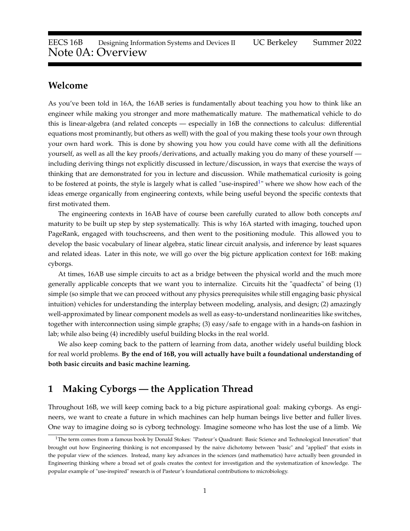### **Welcome**

As you've been told in 16A, the 16AB series is fundamentally about teaching you how to think like an engineer while making you stronger and more mathematically mature. The mathematical vehicle to do this is linear-algebra (and related concepts — especially in 16B the connections to calculus: differential equations most prominantly, but others as well) with the goal of you making these tools your own through your own hard work. This is done by showing you how you could have come with all the definitions yourself, as well as all the key proofs/derivations, and actually making you do many of these yourself including deriving things not explicitly discussed in lecture/discussion, in ways that exercise the ways of thinking that are demonstrated for you in lecture and discussion. While mathematical curiosity is going to be fostered at points, the style is largely what is called "use-inspired<sup>[1](#page-0-0)</sup>" where we show how each of the ideas emerge organically from engineering contexts, while being useful beyond the specific contexts that first motivated them.

The engineering contexts in 16AB have of course been carefully curated to allow both concepts *and* maturity to be built up step by step systematically. This is why 16A started with imaging, touched upon PageRank, engaged with touchscreens, and then went to the positioning module. This allowed you to develop the basic vocabulary of linear algebra, static linear circuit analysis, and inference by least squares and related ideas. Later in this note, we will go over the big picture application context for 16B: making cyborgs.

At times, 16AB use simple circuits to act as a bridge between the physical world and the much more generally applicable concepts that we want you to internalize. Circuits hit the "quadfecta" of being (1) simple (so simple that we can proceed without any physics prerequisites while still engaging basic physical intuition) vehicles for understanding the interplay between modeling, analysis, and design; (2) amazingly well-approximated by linear component models as well as easy-to-understand nonlinearities like switches, together with interconnection using simple graphs; (3) easy/safe to engage with in a hands-on fashion in lab; while also being (4) incredibly useful building blocks in the real world.

We also keep coming back to the pattern of learning from data, another widely useful building block for real world problems. **By the end of 16B, you will actually have built a foundational understanding of both basic circuits and basic machine learning.**

# **1 Making Cyborgs — the Application Thread**

Throughout 16B, we will keep coming back to a big picture aspirational goal: making cyborgs. As engineers, we want to create a future in which machines can help human beings live better and fuller lives. One way to imagine doing so is cyborg technology. Imagine someone who has lost the use of a limb. We

<span id="page-0-0"></span><sup>&</sup>lt;sup>1</sup>The term comes from a famous book by Donald Stokes: "Pasteur's Quadrant: Basic Science and Technological Innovation" that brought out how Engineering thinking is not encompassed by the naive dichotomy between "basic" and "applied" that exists in the popular view of the sciences. Instead, many key advances in the sciences (and mathematics) have actually been grounded in Engineering thinking where a broad set of goals creates the context for investigation and the systematization of knowledge. The popular example of "use-inspired" research is of Pasteur's foundational contributions to microbiology.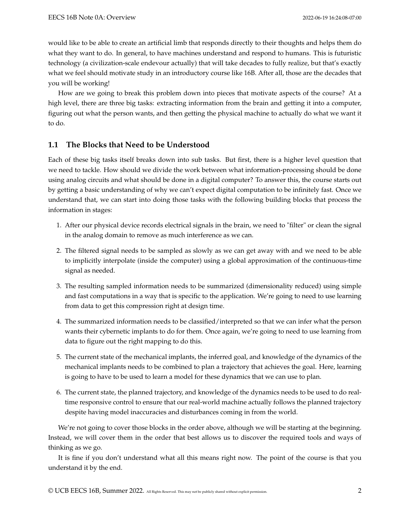would like to be able to create an artificial limb that responds directly to their thoughts and helps them do what they want to do. In general, to have machines understand and respond to humans. This is futuristic technology (a civilization-scale endevour actually) that will take decades to fully realize, but that's exactly what we feel should motivate study in an introductory course like 16B. After all, those are the decades that you will be working!

How are we going to break this problem down into pieces that motivate aspects of the course? At a high level, there are three big tasks: extracting information from the brain and getting it into a computer, figuring out what the person wants, and then getting the physical machine to actually do what we want it to do.

### **1.1 The Blocks that Need to be Understood**

Each of these big tasks itself breaks down into sub tasks. But first, there is a higher level question that we need to tackle. How should we divide the work between what information-processing should be done using analog circuits and what should be done in a digital computer? To answer this, the course starts out by getting a basic understanding of why we can't expect digital computation to be infinitely fast. Once we understand that, we can start into doing those tasks with the following building blocks that process the information in stages:

- 1. After our physical device records electrical signals in the brain, we need to "filter" or clean the signal in the analog domain to remove as much interference as we can.
- 2. The filtered signal needs to be sampled as slowly as we can get away with and we need to be able to implicitly interpolate (inside the computer) using a global approximation of the continuous-time signal as needed.
- 3. The resulting sampled information needs to be summarized (dimensionality reduced) using simple and fast computations in a way that is specific to the application. We're going to need to use learning from data to get this compression right at design time.
- 4. The summarized information needs to be classified/interpreted so that we can infer what the person wants their cybernetic implants to do for them. Once again, we're going to need to use learning from data to figure out the right mapping to do this.
- 5. The current state of the mechanical implants, the inferred goal, and knowledge of the dynamics of the mechanical implants needs to be combined to plan a trajectory that achieves the goal. Here, learning is going to have to be used to learn a model for these dynamics that we can use to plan.
- 6. The current state, the planned trajectory, and knowledge of the dynamics needs to be used to do realtime responsive control to ensure that our real-world machine actually follows the planned trajectory despite having model inaccuracies and disturbances coming in from the world.

We're not going to cover those blocks in the order above, although we will be starting at the beginning. Instead, we will cover them in the order that best allows us to discover the required tools and ways of thinking as we go.

It is fine if you don't understand what all this means right now. The point of the course is that you understand it by the end.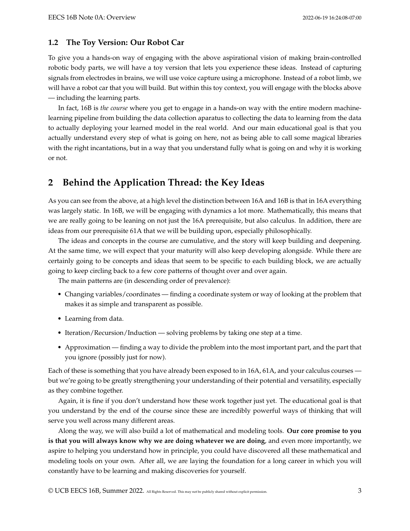#### **1.2 The Toy Version: Our Robot Car**

To give you a hands-on way of engaging with the above aspirational vision of making brain-controlled robotic body parts, we will have a toy version that lets you experience these ideas. Instead of capturing signals from electrodes in brains, we will use voice capture using a microphone. Instead of a robot limb, we will have a robot car that you will build. But within this toy context, you will engage with the blocks above — including the learning parts.

In fact, 16B is *the course* where you get to engage in a hands-on way with the entire modern machinelearning pipeline from building the data collection aparatus to collecting the data to learning from the data to actually deploying your learned model in the real world. And our main educational goal is that you actually understand every step of what is going on here, not as being able to call some magical libraries with the right incantations, but in a way that you understand fully what is going on and why it is working or not.

# **2 Behind the Application Thread: the Key Ideas**

As you can see from the above, at a high level the distinction between 16A and 16B is that in 16A everything was largely static. In 16B, we will be engaging with dynamics a lot more. Mathematically, this means that we are really going to be leaning on not just the 16A prerequisite, but also calculus. In addition, there are ideas from our prerequisite 61A that we will be building upon, especially philosophically.

The ideas and concepts in the course are cumulative, and the story will keep building and deepening. At the same time, we will expect that your maturity will also keep developing alongside. While there are certainly going to be concepts and ideas that seem to be specific to each building block, we are actually going to keep circling back to a few core patterns of thought over and over again.

The main patterns are (in descending order of prevalence):

- Changing variables/coordinates finding a coordinate system or way of looking at the problem that makes it as simple and transparent as possible.
- Learning from data.
- Iteration/Recursion/Induction solving problems by taking one step at a time.
- Approximation finding a way to divide the problem into the most important part, and the part that you ignore (possibly just for now).

Each of these is something that you have already been exposed to in 16A, 61A, and your calculus courses but we're going to be greatly strengthening your understanding of their potential and versatility, especially as they combine together.

Again, it is fine if you don't understand how these work together just yet. The educational goal is that you understand by the end of the course since these are incredibly powerful ways of thinking that will serve you well across many different areas.

Along the way, we will also build a lot of mathematical and modeling tools. **Our core promise to you is that you will always know why we are doing whatever we are doing**, and even more importantly, we aspire to helping you understand how in principle, you could have discovered all these mathematical and modeling tools on your own. After all, we are laying the foundation for a long career in which you will constantly have to be learning and making discoveries for yourself.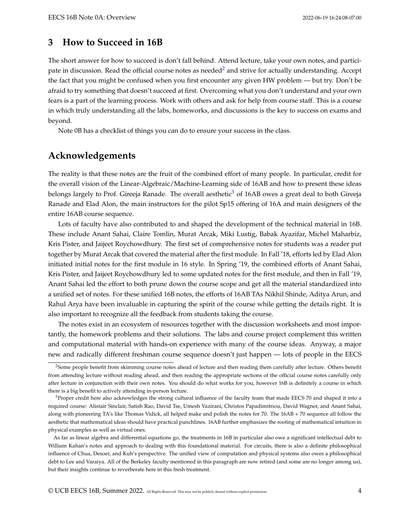## **3 How to Succeed in 16B**

The short answer for how to succeed is don't fall behind. Attend lecture, take your own notes, and partici-pate in discussion. Read the official course notes as needed<sup>[2](#page-3-0)</sup> and strive for actually understanding. Accept the fact that you might be confused when you first encounter any given HW problem — but try. Don't be afraid to try something that doesn't succeed at first. Overcoming what you don't understand and your own fears is a part of the learning process. Work with others and ask for help from course staff. This is a course in which truly understanding all the labs, homeworks, and discussions is the key to success on exams and beyond.

Note 0B has a checklist of things you can do to ensure your success in the class.

# **Acknowledgements**

The reality is that these notes are the fruit of the combined effort of many people. In particular, credit for the overall vision of the Linear-Algebraic/Machine-Learning side of 16AB and how to present these ideas belongs largely to Prof. Gireeja Ranade. The overall aesthetic<sup>[3](#page-3-1)</sup> of 16AB owes a great deal to both Gireeja Ranade and Elad Alon, the main instructors for the pilot Sp15 offering of 16A and main designers of the entire 16AB course sequence.

Lots of faculty have also contributed to and shaped the development of the technical material in 16B. These include Anant Sahai, Claire Tomlin, Murat Arcak, Miki Lustig, Babak Ayazifar, Michel Maharbiz, Kris Pister, and Jaijeet Roychowdhury. The first set of comprehensive notes for students was a reader put together by Murat Arcak that covered the material after the first module. In Fall '18, efforts led by Elad Alon initiated initial notes for the first module in 16 style. In Spring '19, the combined efforts of Anant Sahai, Kris Pister, and Jaijeet Roychowdhury led to some updated notes for the first module, and then in Fall '19, Anant Sahai led the effort to both prune down the course scope and get all the material standardized into a unified set of notes. For these unified 16B notes, the efforts of 16AB TAs Nikhil Shinde, Aditya Arun, and Rahul Arya have been invaluable in capturing the spirit of the course while getting the details right. It is also important to recognize all the feedback from students taking the course.

The notes exist in an ecosystem of resources together with the discussion worksheets and most importantly, the homework problems and their solutions. The labs and course project complement this written and computational material with hands-on experience with many of the course ideas. Anyway, a major new and radically different freshman course sequence doesn't just happen — lots of people in the EECS

<span id="page-3-0"></span><sup>&</sup>lt;sup>2</sup>Some people benefit from skimming course notes ahead of lecture and then reading them carefully after lecture. Others benefit from attending lecture without reading ahead, and then reading the appropriate sections of the official course notes carefully only after lecture in conjunction with their own notes. You should do what works for you, however 16B is definitely a course in which there is a big benefit to actively attending in-person lecture.

<span id="page-3-1"></span> $3$ Proper credit here also acknowledges the strong cultural influence of the faculty team that made EECS 70 and shaped it into a required course: Alistair Sinclair, Satish Rao, David Tse, Umesh Vazirani, Christos Papadimitriou, David Wagner, and Anant Sahai, along with pioneering TA's like Thomas Vidick, all helped make and polish the notes for 70. The 16AB + 70 sequence all follow the aesthetic that mathematical ideas should have practical punchlines. 16AB further emphasizes the rooting of mathematical intuition in physical examples as well as virtual ones.

As far as linear algebra and differential equations go, the treatments in 16B in particular also owe a significant intellectual debt to William Kahan's notes and approach to dealing with this foundational material. For circuits, there is also a definite philosophical influence of Chua, Desoer, and Kuh's perspective. The unified view of computation and physical systems also owes a philosophical debt to Lee and Varaiya. All of the Berkeley faculty mentioned in this paragraph are now retired (and some are no longer among us), but their insights continue to reverberate here in this fresh treatment.